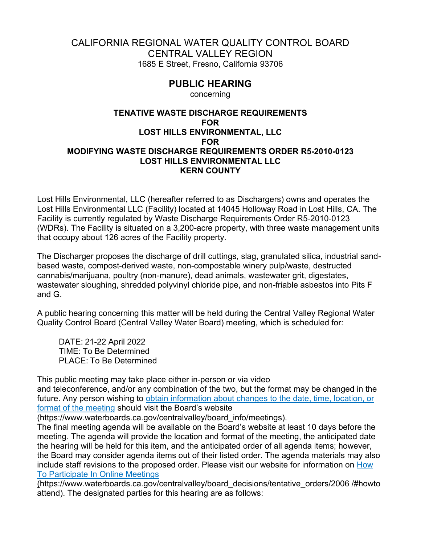## CALIFORNIA REGIONAL WATER QUALITY CONTROL BOARD CENTRAL VALLEY REGION 1685 E Street, Fresno, California 93706

## **PUBLIC HEARING**

concerning

## **TENATIVE WASTE DISCHARGE REQUIREMENTS FOR LOST HILLS ENVIRONMENTAL, LLC FOR MODIFYING WASTE DISCHARGE REQUIREMENTS ORDER R5-2010-0123 LOST HILLS ENVIRONMENTAL LLC KERN COUNTY**

Lost Hills Environmental, LLC (hereafter referred to as Dischargers) owns and operates the Lost Hills Environmental LLC (Facility) located at 14045 Holloway Road in Lost Hills, CA. The Facility is currently regulated by Waste Discharge Requirements Order R5-2010-0123 (WDRs). The Facility is situated on a 3,200-acre property, with three waste management units that occupy about 126 acres of the Facility property.

The Discharger proposes the discharge of drill cuttings, slag, granulated silica, industrial sandbased waste, compost-derived waste, non-compostable winery pulp/waste, destructed cannabis/marijuana, poultry (non-manure), dead animals, wastewater grit, digestates, wastewater sloughing, shredded polyvinyl chloride pipe, and non-friable asbestos into Pits F and G.

A public hearing concerning this matter will be held during the Central Valley Regional Water Quality Control Board (Central Valley Water Board) meeting, which is scheduled for:

DATE: 21-22 April 2022 TIME: To Be Determined PLACE: To Be Determined

This public meeting may take place either in-person or via video and teleconference, and/or any combination of the two, but the format may be changed in the future. Any person wishing to obtain [information about changes to the date, time, location, or](https://www.waterboards.ca.gov/centralvalley/board_info/meetings)  format [of the meeting](https://www.waterboards.ca.gov/centralvalley/board_info/meetings) should visit the Board's website

(https://www.waterboards.ca.gov/centralvalley/board\_info/meetings).

The final meeting agenda will be available on the Board's website at least 10 days before the meeting. The agenda will provide the location and format of the meeting, the anticipated date the hearing will be held for this item, and the anticipated order of all agenda items; however, the Board may consider agenda items out of their listed order. The agenda materials may also include staff revisions to the proposed order. Please visit our website for information on [How](https://www.waterboards.ca.gov/centralvalley/board_decisions/tentative_orders/2006 /#howto attend)  [To Participate In Online Meetings](https://www.waterboards.ca.gov/centralvalley/board_decisions/tentative_orders/2006 /#howto attend)

(https://www.waterboards.ca.gov/centralvalley/board\_decisions/tentative\_orders/2006 /#howto attend). The designated parties for this hearing are as follows: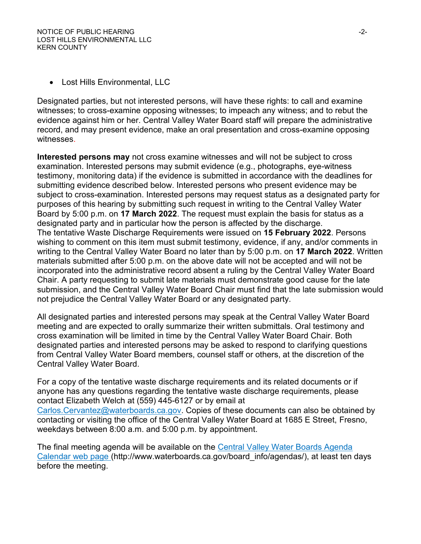· Lost Hills Environmental, LLC

Designated parties, but not interested persons, will have these rights: to call and examine witnesses; to cross-examine opposing witnesses; to impeach any witness; and to rebut the evidence against him or her. Central Valley Water Board staff will prepare the administrative record, and may present evidence, make an oral presentation and cross-examine opposing witnesses.

**Interested persons may** not cross examine witnesses and will not be subject to cross examination. Interested persons may submit evidence (e.g., photographs, eye-witness testimony, monitoring data) if the evidence is submitted in accordance with the deadlines for submitting evidence described below. Interested persons who present evidence may be subject to cross-examination. Interested persons may request status as a designated party for purposes of this hearing by submitting such request in writing to the Central Valley Water Board by 5:00 p.m. on **17 March 2022**. The request must explain the basis for status as a designated party and in particular how the person is affected by the discharge. The tentative Waste Discharge Requirements were issued on **15 February 2022**. Persons wishing to comment on this item must submit testimony, evidence, if any, and/or comments in writing to the Central Valley Water Board no later than by 5:00 p.m. on **17 March 2022**. Written materials submitted after 5:00 p.m. on the above date will not be accepted and will not be incorporated into the administrative record absent a ruling by the Central Valley Water Board Chair. A party requesting to submit late materials must demonstrate good cause for the late submission, and the Central Valley Water Board Chair must find that the late submission would not prejudice the Central Valley Water Board or any designated party.

All designated parties and interested persons may speak at the Central Valley Water Board meeting and are expected to orally summarize their written submittals. Oral testimony and cross examination will be limited in time by the Central Valley Water Board Chair. Both designated parties and interested persons may be asked to respond to clarifying questions from Central Valley Water Board members, counsel staff or others, at the discretion of the Central Valley Water Board.

For a copy of the tentative waste discharge requirements and its related documents or if anyone has any questions regarding the tentative waste discharge requirements, please contact Elizabeth Welch at (559) 445-6127 or by email at [Carlos.Cervantez@waterboards.ca.gov.](mailto:Carlos.Cervantez@waterboards.ca.gov) Copies of these documents can also be obtained by contacting or visiting the office of the Central Valley Water Board at 1685 E Street, Fresno, weekdays between 8:00 a.m. and 5:00 p.m. by appointment.

The final meeting agenda will be available on the [Central Valley Water Boards Agenda](http://www.waterboards.ca.gov/board_info/agendas/)  [Calendar web page](http://www.waterboards.ca.gov/board_info/agendas/) (http://www.waterboards.ca.gov/board\_info/agendas/), at least ten days before the meeting.